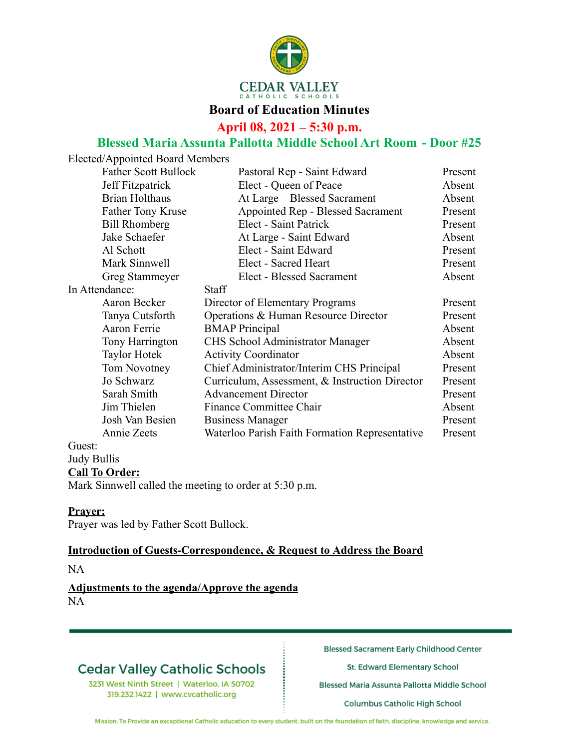

## **Board of Education Minutes**

**April 08, 2021 – 5:30 p.m.**

## **Blessed Maria Assunta Pallotta Middle School Art Room - Door #25**

| Elected/Appointed Board Members |                             |                                                |         |
|---------------------------------|-----------------------------|------------------------------------------------|---------|
|                                 | <b>Father Scott Bullock</b> | Pastoral Rep - Saint Edward                    | Present |
| Jeff Fitzpatrick                |                             | Elect - Queen of Peace                         | Absent  |
|                                 | <b>Brian Holthaus</b>       | At Large - Blessed Sacrament                   | Absent  |
|                                 | <b>Father Tony Kruse</b>    | Appointed Rep - Blessed Sacrament              | Present |
|                                 | <b>Bill Rhomberg</b>        | Elect - Saint Patrick                          | Present |
|                                 | Jake Schaefer               | At Large - Saint Edward                        | Absent  |
|                                 | Al Schott                   | Elect - Saint Edward                           | Present |
|                                 | Mark Sinnwell               | Elect - Sacred Heart                           | Present |
|                                 | Greg Stammeyer              | <b>Elect - Blessed Sacrament</b>               | Absent  |
| In Attendance:                  |                             | <b>Staff</b>                                   |         |
|                                 | Aaron Becker                | Director of Elementary Programs                | Present |
|                                 | Tanya Cutsforth             | Operations & Human Resource Director           | Present |
|                                 | Aaron Ferrie                | <b>BMAP</b> Principal                          | Absent  |
|                                 | Tony Harrington             | CHS School Administrator Manager               | Absent  |
|                                 | <b>Taylor Hotek</b>         | <b>Activity Coordinator</b>                    | Absent  |
|                                 | Tom Novotney                | Chief Administrator/Interim CHS Principal      | Present |
|                                 | Jo Schwarz                  | Curriculum, Assessment, & Instruction Director | Present |
|                                 | Sarah Smith                 | <b>Advancement Director</b>                    | Present |
|                                 | Jim Thielen                 | <b>Finance Committee Chair</b>                 | Absent  |
|                                 | Josh Van Besien             | <b>Business Manager</b>                        | Present |
|                                 | Annie Zeets                 | Waterloo Parish Faith Formation Representative | Present |
| Guest:                          |                             |                                                |         |
| <b>Judy Bullis</b>              |                             |                                                |         |
| <b>Call To Order:</b>           |                             |                                                |         |

Mark Sinnwell called the meeting to order at 5:30 p.m.

#### **Prayer:**

Prayer was led by Father Scott Bullock.

#### **Introduction of Guests-Correspondence, & Request to Address the Board**

NA

#### **Adjustments to the agenda/Approve the agenda** NA

# **Cedar Valley Catholic Schools**

3231 West Ninth Street | Waterloo, IA 50702 319.232.1422 | www.cvcatholic.org

**Blessed Sacrament Early Childhood Center** 

St. Edward Elementary School

Blessed Maria Assunta Pallotta Middle School

Columbus Catholic High School

Mission: To Provide an exceptional Catholic education to every student, built on the foundation of faith, discipline, knowledge and service.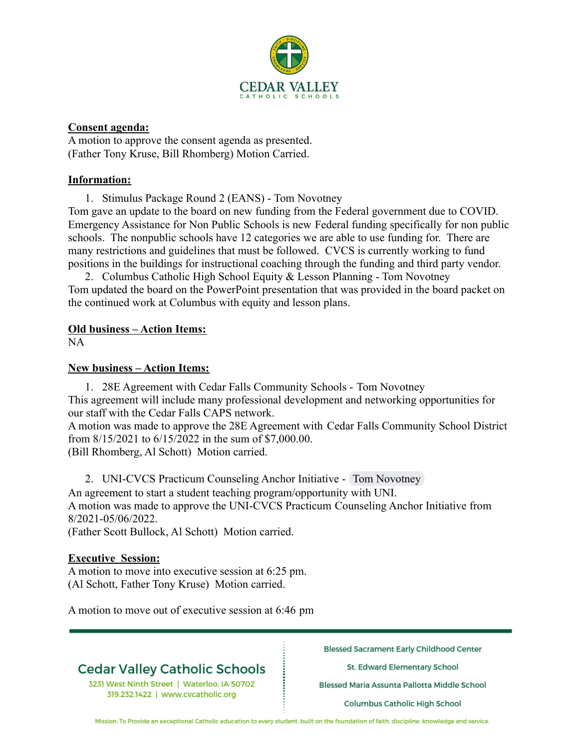

### **Consent agenda:**

A motion to approve the consent agenda as presented. (Father Tony Kruse, Bill Rhomberg) Motion Carried.

### **Information:**

1. Stimulus Package Round 2 (EANS) - Tom Novotney

Tom gave an update to the board on new funding from the Federal government due to COVID. Emergency Assistance for Non Public Schools is new Federal funding specifically for non public schools. The nonpublic schools have 12 categories we are able to use funding for. There are many restrictions and guidelines that must be followed. CVCS is currently working to fund positions in the buildings for instructional coaching through the funding and third party vendor.

2. Columbus Catholic High School Equity & Lesson Planning - Tom Novotney Tom updated the board on the PowerPoint presentation that was provided in the board packet on the continued work at Columbus with equity and lesson plans.

### **Old business – Action Items:**

NA

#### **New business – Action Items:**

1. 28E Agreement with Cedar Falls Community Schools - Tom Novotney This agreement will include many professional development and networking opportunities for our staff with the Cedar Falls CAPS network.

A motion was made to approve the 28E Agreement with Cedar Falls Community School District from 8/15/2021 to 6/15/2022 in the sum of \$7,000.00.

(Bill Rhomberg, Al Schott) Motion carried.

2. UNI-CVCS Practicum Counseling Anchor Initiative - Tom Novotney An agreement to start a student teaching program/opportunity with UNI.

A motion was made to approve the UNI-CVCS Practicum Counseling Anchor Initiative from 8/2021-05/06/2022.

(Father Scott Bullock, Al Schott) Motion carried.

#### **Executive Session:**

A motion to move into executive session at 6:25 pm. (Al Schott, Father Tony Kruse) Motion carried.

A motion to move out of executive session at 6:46 pm

# **Cedar Valley Catholic Schools**

3231 West Ninth Street | Waterloo, IA 50702 319.232.1422 | www.cvcatholic.org

**Blessed Sacrament Early Childhood Center** 

St. Edward Elementary School

Blessed Maria Assunta Pallotta Middle School

Columbus Catholic High School

Mission: To Provide an exceptional Catholic education to every student, built on the foundation of faith, discipline, knowledge and service.